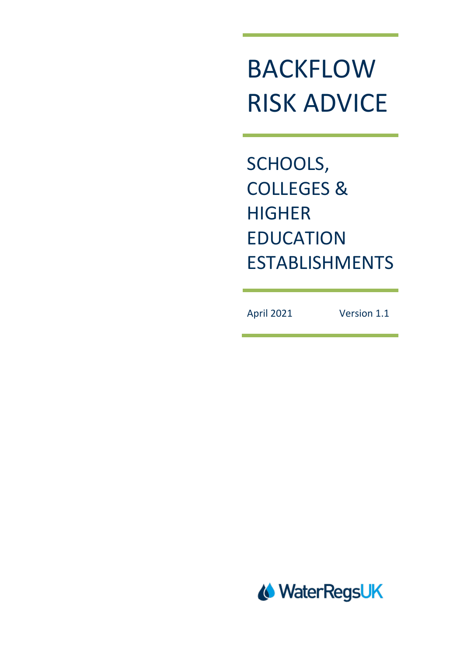# BACKFLOW RISK ADVICE

SCHOOLS, COLLEGES & **HIGHER** EDUCATION ESTABLISHMENTS

April 2021 Version 1.1

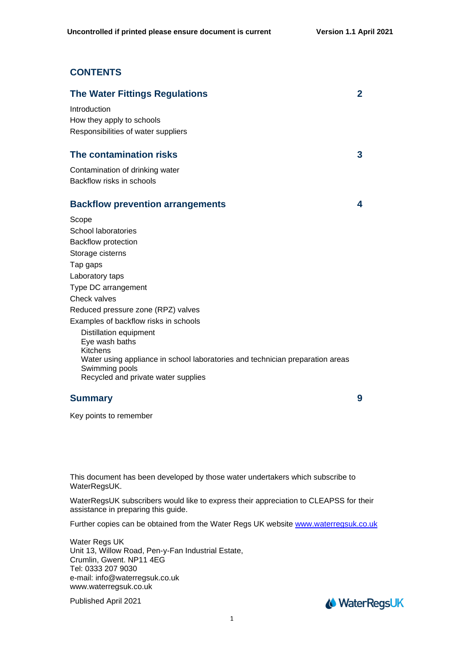## **CONTENTS**

| <b>The Water Fittings Regulations</b>                                         | 2 |
|-------------------------------------------------------------------------------|---|
| Introduction                                                                  |   |
| How they apply to schools                                                     |   |
| Responsibilities of water suppliers                                           |   |
| The contamination risks                                                       | 3 |
| Contamination of drinking water                                               |   |
| Backflow risks in schools                                                     |   |
| <b>Backflow prevention arrangements</b>                                       | 4 |
| Scope                                                                         |   |
| School laboratories                                                           |   |
| <b>Backflow protection</b>                                                    |   |
| Storage cisterns                                                              |   |
| Tap gaps                                                                      |   |
| Laboratory taps                                                               |   |
| Type DC arrangement                                                           |   |
| Check valves                                                                  |   |
| Reduced pressure zone (RPZ) valves                                            |   |
| Examples of backflow risks in schools                                         |   |
| Distillation equipment                                                        |   |
| Eye wash baths<br>Kitchens                                                    |   |
| Water using appliance in school laboratories and technician preparation areas |   |
| Swimming pools                                                                |   |
| Recycled and private water supplies                                           |   |

## **Summary** 9

Key points to remember

This document has been developed by those water undertakers which subscribe to WaterRegsUK.

WaterRegsUK subscribers would like to express their appreciation to CLEAPSS for their assistance in preparing this guide.

Further copies can be obtained from the Water Regs UK website [www.waterregsuk.co.uk](http://www.waterregsuk.co.uk/)

Water Regs UK Unit 13, Willow Road, Pen-y-Fan Industrial Estate, Crumlin, Gwent. NP11 4EG Tel: 0333 207 9030 e-mail: info@waterregsuk.co.uk www.waterregsuk.co.uk

Published April 2021

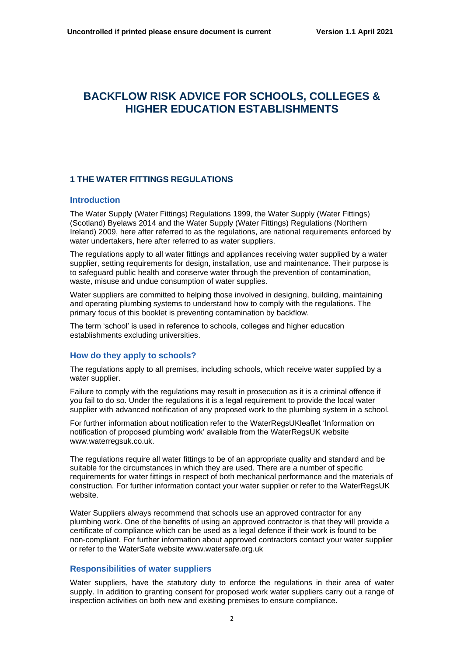## **BACKFLOW RISK ADVICE FOR SCHOOLS, COLLEGES & HIGHER EDUCATION ESTABLISHMENTS**

## **1 THE WATER FITTINGS REGULATIONS**

#### **Introduction**

The Water Supply (Water Fittings) Regulations 1999, the Water Supply (Water Fittings) (Scotland) Byelaws 2014 and the Water Supply (Water Fittings) Regulations (Northern Ireland) 2009, here after referred to as the regulations, are national requirements enforced by water undertakers, here after referred to as water suppliers.

The regulations apply to all water fittings and appliances receiving water supplied by a water supplier, setting requirements for design, installation, use and maintenance. Their purpose is to safeguard public health and conserve water through the prevention of contamination, waste, misuse and undue consumption of water supplies.

Water suppliers are committed to helping those involved in designing, building, maintaining and operating plumbing systems to understand how to comply with the regulations. The primary focus of this booklet is preventing contamination by backflow.

The term 'school' is used in reference to schools, colleges and higher education establishments excluding universities.

#### **How do they apply to schools?**

The regulations apply to all premises, including schools, which receive water supplied by a water supplier.

Failure to comply with the regulations may result in prosecution as it is a criminal offence if you fail to do so. Under the regulations it is a legal requirement to provide the local water supplier with advanced notification of any proposed work to the plumbing system in a school.

For further information about notification refer to the WaterRegsUKleaflet 'Information on notification of proposed plumbing work' available from the WaterRegsUK website www.waterregsuk.co.uk.

The regulations require all water fittings to be of an appropriate quality and standard and be suitable for the circumstances in which they are used. There are a number of specific requirements for water fittings in respect of both mechanical performance and the materials of construction. For further information contact your water supplier or refer to the WaterRegsUK website.

Water Suppliers always recommend that schools use an approved contractor for any plumbing work. One of the benefits of using an approved contractor is that they will provide a certificate of compliance which can be used as a legal defence if their work is found to be non-compliant. For further information about approved contractors contact your water supplier or refer to the WaterSafe website www.watersafe.org.uk

#### **Responsibilities of water suppliers**

Water suppliers, have the statutory duty to enforce the regulations in their area of water supply. In addition to granting consent for proposed work water suppliers carry out a range of inspection activities on both new and existing premises to ensure compliance.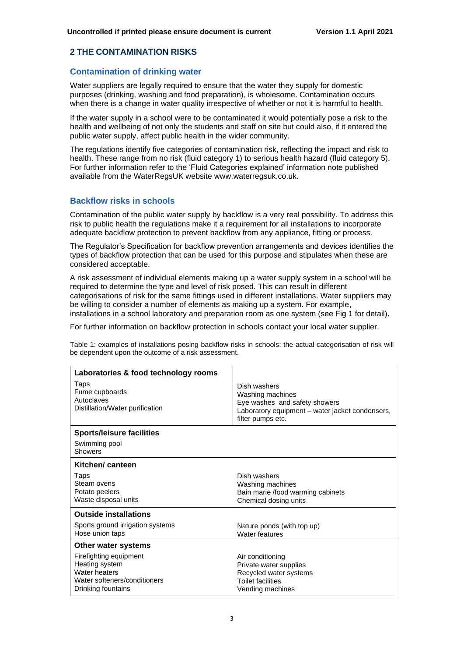#### **2 THE CONTAMINATION RISKS**

#### **Contamination of drinking water**

Water suppliers are legally required to ensure that the water they supply for domestic purposes (drinking, washing and food preparation), is wholesome. Contamination occurs when there is a change in water quality irrespective of whether or not it is harmful to health.

If the water supply in a school were to be contaminated it would potentially pose a risk to the health and wellbeing of not only the students and staff on site but could also, if it entered the public water supply, affect public health in the wider community.

The regulations identify five categories of contamination risk, reflecting the impact and risk to health. These range from no risk (fluid category 1) to serious health hazard (fluid category 5). For further information refer to the 'Fluid Categories explained' information note published available from the WaterRegsUK website www.waterregsuk.co.uk.

#### **Backflow risks in schools**

Contamination of the public water supply by backflow is a very real possibility. To address this risk to public health the regulations make it a requirement for all installations to incorporate adequate backflow protection to prevent backflow from any appliance, fitting or process.

The Regulator's Specification for backflow prevention arrangements and devices identifies the types of backflow protection that can be used for this purpose and stipulates when these are considered acceptable.

A risk assessment of individual elements making up a water supply system in a school will be required to determine the type and level of risk posed. This can result in different categorisations of risk for the same fittings used in different installations. Water suppliers may be willing to consider a number of elements as making up a system. For example, installations in a school laboratory and preparation room as one system (see Fig 1 for detail).

For further information on backflow protection in schools contact your local water supplier.

Table 1: examples of installations posing backflow risks in schools: the actual categorisation of risk will be dependent upon the outcome of a risk assessment.

| Laboratories & food technology rooms                                                                            |                                                                                                                                           |
|-----------------------------------------------------------------------------------------------------------------|-------------------------------------------------------------------------------------------------------------------------------------------|
| Taps<br>Fume cupboards<br>Autoclaves<br>Distillation/Water purification                                         | Dish washers<br>Washing machines<br>Eye washes and safety showers<br>Laboratory equipment - water jacket condensers,<br>filter pumps etc. |
| <b>Sports/leisure facilities</b>                                                                                |                                                                                                                                           |
| Swimming pool<br>Showers                                                                                        |                                                                                                                                           |
| Kitchen/canteen                                                                                                 |                                                                                                                                           |
| Taps<br>Steam ovens<br>Potato peelers<br>Waste disposal units                                                   | Dish washers<br>Washing machines<br>Bain marie /food warming cabinets<br>Chemical dosing units                                            |
| <b>Outside installations</b>                                                                                    |                                                                                                                                           |
| Sports ground irrigation systems<br>Hose union taps                                                             | Nature ponds (with top up)<br>Water features                                                                                              |
| Other water systems                                                                                             |                                                                                                                                           |
| Firefighting equipment<br>Heating system<br>Water heaters<br>Water softeners/conditioners<br>Drinking fountains | Air conditioning<br>Private water supplies<br>Recycled water systems<br><b>Toilet facilities</b><br>Vending machines                      |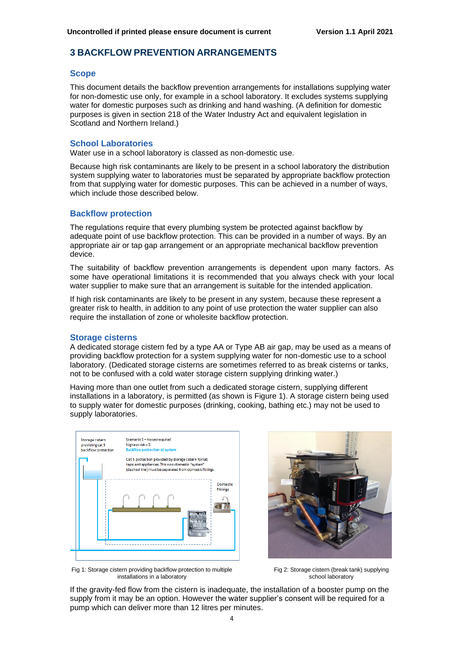## **3 BACKFLOW PREVENTION ARRANGEMENTS**

#### **Scope**

This document details the backflow prevention arrangements for installations supplying water for non-domestic use only, for example in a school laboratory. It excludes systems supplying water for domestic purposes such as drinking and hand washing. (A definition for domestic purposes is given in section 218 of the Water Industry Act and equivalent legislation in Scotland and Northern Ireland.)

#### **School Laboratories**

Water use in a school laboratory is classed as non-domestic use.

Because high risk contaminants are likely to be present in a school laboratory the distribution system supplying water to laboratories must be separated by appropriate backflow protection from that supplying water for domestic purposes. This can be achieved in a number of ways, which include those described below.

#### **Backflow protection**

The regulations require that every plumbing system be protected against backflow by adequate point of use backflow protection. This can be provided in a number of ways. By an appropriate air or tap gap arrangement or an appropriate mechanical backflow prevention device.

The suitability of backflow prevention arrangements is dependent upon many factors. As some have operational limitations it is recommended that you always check with your local water supplier to make sure that an arrangement is suitable for the intended application.

If high risk contaminants are likely to be present in any system, because these represent a greater risk to health, in addition to any point of use protection the water supplier can also require the installation of zone or wholesite backflow protection.

#### **Storage cisterns**

A dedicated storage cistern fed by a type AA or Type AB air gap, may be used as a means of providing backflow protection for a system supplying water for non-domestic use to a school laboratory. (Dedicated storage cisterns are sometimes referred to as break cisterns or tanks, not to be confused with a cold water storage cistern supplying drinking water.)

Having more than one outlet from such a dedicated storage cistern, supplying different installations in a laboratory, is permitted (as shown is Figure 1). A storage cistern being used to supply water for domestic purposes (drinking, cooking, bathing etc.) may not be used to supply laboratories.





Fig 1: Storage cistern providing backflow protection to multiple installations in a laboratory

Fig 2: Storage cistern (break tank) supplying school laboratory

If the gravity-fed flow from the cistern is inadequate, the installation of a booster pump on the supply from it may be an option. However the water supplier's consent will be required for a pump which can deliver more than 12 litres per minutes.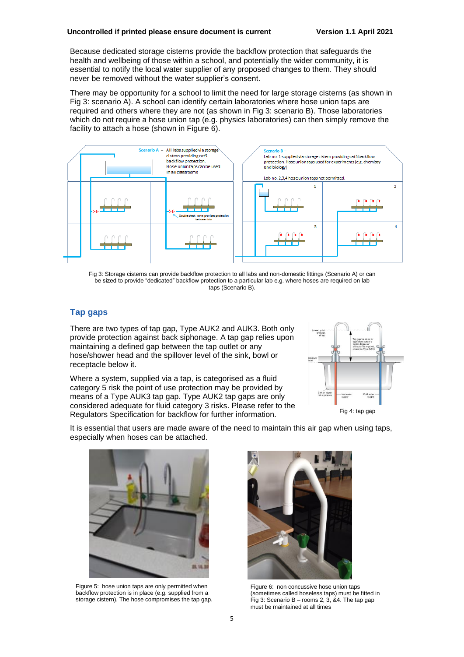Because dedicated storage cisterns provide the backflow protection that safeguards the health and wellbeing of those within a school, and potentially the wider community, it is essential to notify the local water supplier of any proposed changes to them. They should never be removed without the water supplier's consent.

There may be opportunity for a school to limit the need for large storage cisterns (as shown in Fig 3: scenario A). A school can identify certain laboratories where hose union taps are required and others where they are not (as shown in Fig 3: scenario B). Those laboratories which do not require a hose union tap (e.g. physics laboratories) can then simply remove the facility to attach a hose (shown in Figure 6).



Fig 3: Storage cisterns can provide backflow protection to all labs and non-domestic fittings (Scenario A) or can be sized to provide "dedicated" backflow protection to a particular lab e.g. where hoses are required on lab taps (Scenario B).

## **Tap gaps**

There are two types of tap gap, Type AUK2 and AUK3. Both only provide protection against back siphonage. A tap gap relies upon maintaining a defined gap between the tap outlet or any hose/shower head and the spillover level of the sink, bowl or receptacle below it.

Where a system, supplied via a tap, is categorised as a fluid category 5 risk the point of use protection may be provided by means of a Type AUK3 tap gap. Type AUK2 tap gaps are only considered adequate for fluid category 3 risks. Please refer to the Regulators Specification for backflow for further information.



Fig 4: tap gap

It is essential that users are made aware of the need to maintain this air gap when using taps, especially when hoses can be attached.



storage cistern). The hose compromises the tap gap. Figure 5: hose union taps are only permitted when backflow protection is in place (e.g. supplied from a



Figure 6: non concussive hose union taps (sometimes called hoseless taps) must be fitted in Fig 3: Scenario B – rooms 2, 3,  $\&4$ . The tap gap must be maintained at all times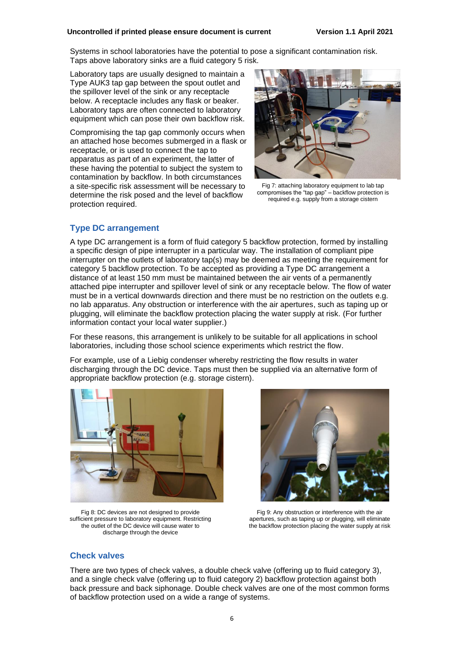#### **Uncontrolled if printed please ensure document is current Version 1.1 April 2021**

Systems in school laboratories have the potential to pose a significant contamination risk. Taps above laboratory sinks are a fluid category 5 risk.

Laboratory taps are usually designed to maintain a Type AUK3 tap gap between the spout outlet and the spillover level of the sink or any receptacle below. A receptacle includes any flask or beaker. Laboratory taps are often connected to laboratory equipment which can pose their own backflow risk.

Compromising the tap gap commonly occurs when an attached hose becomes submerged in a flask or receptacle, or is used to connect the tap to apparatus as part of an experiment, the latter of these having the potential to subject the system to contamination by backflow. In both circumstances a site-specific risk assessment will be necessary to determine the risk posed and the level of backflow protection required.



Fig 7: attaching laboratory equipment to lab tap compromises the "tap gap" – backflow protection is required e.g. supply from a storage cistern

## **Type DC arrangement**

A type DC arrangement is a form of fluid category 5 backflow protection, formed by installing a specific design of pipe interrupter in a particular way. The installation of compliant pipe interrupter on the outlets of laboratory tap(s) may be deemed as meeting the requirement for category 5 backflow protection. To be accepted as providing a Type DC arrangement a distance of at least 150 mm must be maintained between the air vents of a permanently attached pipe interrupter and spillover level of sink or any receptacle below. The flow of water must be in a vertical downwards direction and there must be no restriction on the outlets e.g. no lab apparatus. Any obstruction or interference with the air apertures, such as taping up or plugging, will eliminate the backflow protection placing the water supply at risk. (For further information contact your local water supplier.)

For these reasons, this arrangement is unlikely to be suitable for all applications in school laboratories, including those school science experiments which restrict the flow.

For example, use of a Liebig condenser whereby restricting the flow results in water discharging through the DC device. Taps must then be supplied via an alternative form of appropriate backflow protection (e.g. storage cistern).





Fig 8: DC devices are not designed to provide sufficient pressure to laboratory equipment. Restricting the outlet of the DC device will cause water to discharge through the device

Fig 9: Any obstruction or interference with the air apertures, such as taping up or plugging, will eliminate the backflow protection placing the water supply at risk

#### **Check valves**

There are two types of check valves, a double check valve (offering up to fluid category 3), and a single check valve (offering up to fluid category 2) backflow protection against both back pressure and back siphonage. Double check valves are one of the most common forms of backflow protection used on a wide a range of systems.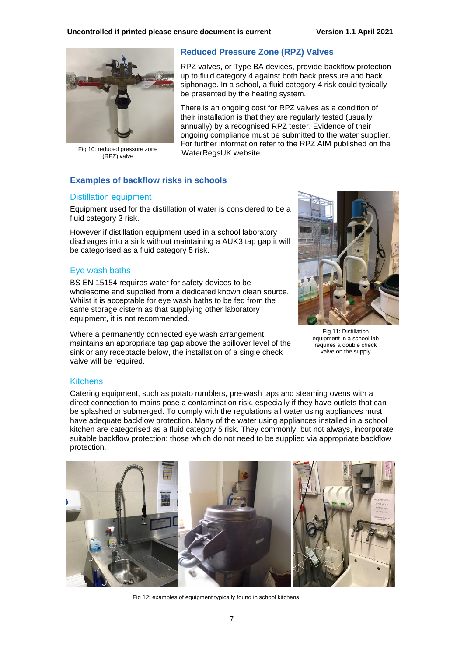

Fig 10: reduced pressure zone (RPZ) valve

#### **Reduced Pressure Zone (RPZ) Valves**

RPZ valves, or Type BA devices, provide backflow protection up to fluid category 4 against both back pressure and back siphonage. In a school, a fluid category 4 risk could typically be presented by the heating system.

There is an ongoing cost for RPZ valves as a condition of their installation is that they are regularly tested (usually annually) by a recognised RPZ tester. Evidence of their ongoing compliance must be submitted to the water supplier. For further information refer to the RPZ AIM published on the WaterRegsUK website.

### **Examples of backflow risks in schools**

#### Distillation equipment

Equipment used for the distillation of water is considered to be a fluid category 3 risk.

However if distillation equipment used in a school laboratory discharges into a sink without maintaining a AUK3 tap gap it will be categorised as a fluid category 5 risk.

#### Eye wash baths

BS EN 15154 requires water for safety devices to be wholesome and supplied from a dedicated known clean source. Whilst it is acceptable for eye wash baths to be fed from the same storage cistern as that supplying other laboratory equipment, it is not recommended.

Where a permanently connected eye wash arrangement maintains an appropriate tap gap above the spillover level of the sink or any receptacle below, the installation of a single check valve will be required.



Fig 11: Distillation equipment in a school lab requires a double check valve on the supply

#### Kitchens

Catering equipment, such as potato rumblers, pre-wash taps and steaming ovens with a direct connection to mains pose a contamination risk, especially if they have outlets that can be splashed or submerged. To comply with the regulations all water using appliances must have adequate backflow protection. Many of the water using appliances installed in a school kitchen are categorised as a fluid category 5 risk. They commonly, but not always, incorporate suitable backflow protection: those which do not need to be supplied via appropriate backflow protection.



Fig 12: examples of equipment typically found in school kitchens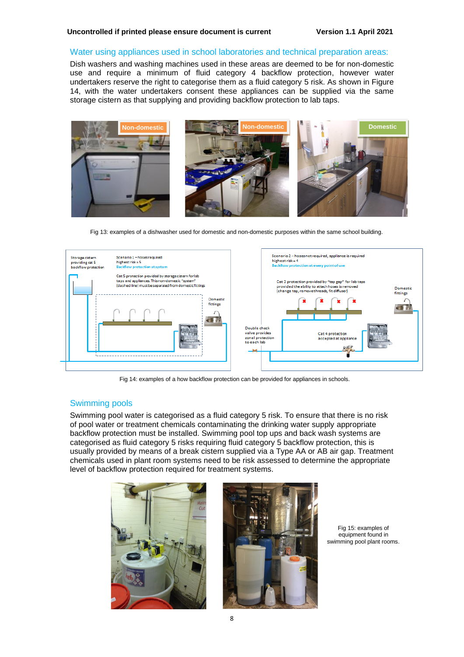#### Water using appliances used in school laboratories and technical preparation areas:

Dish washers and washing machines used in these areas are deemed to be for non-domestic use and require a minimum of fluid category 4 backflow protection, however water undertakers reserve the right to categorise them as a fluid category 5 risk. As shown in Figure 14, with the water undertakers consent these appliances can be supplied via the same storage cistern as that supplying and providing backflow protection to lab taps.



Fig 13: examples of a dishwasher used for domestic and non-domestic purposes within the same school building.



Fig 14: examples of a how backflow protection can be provided for appliances in schools.

#### Swimming pools

Swimming pool water is categorised as a fluid category 5 risk. To ensure that there is no risk of pool water or treatment chemicals contaminating the drinking water supply appropriate backflow protection must be installed. Swimming pool top ups and back wash systems are categorised as fluid category 5 risks requiring fluid category 5 backflow protection, this is usually provided by means of a break cistern supplied via a Type AA or AB air gap. Treatment chemicals used in plant room systems need to be risk assessed to determine the appropriate level of backflow protection required for treatment systems.





Fig 15: examples of equipment found in swimming pool plant rooms.